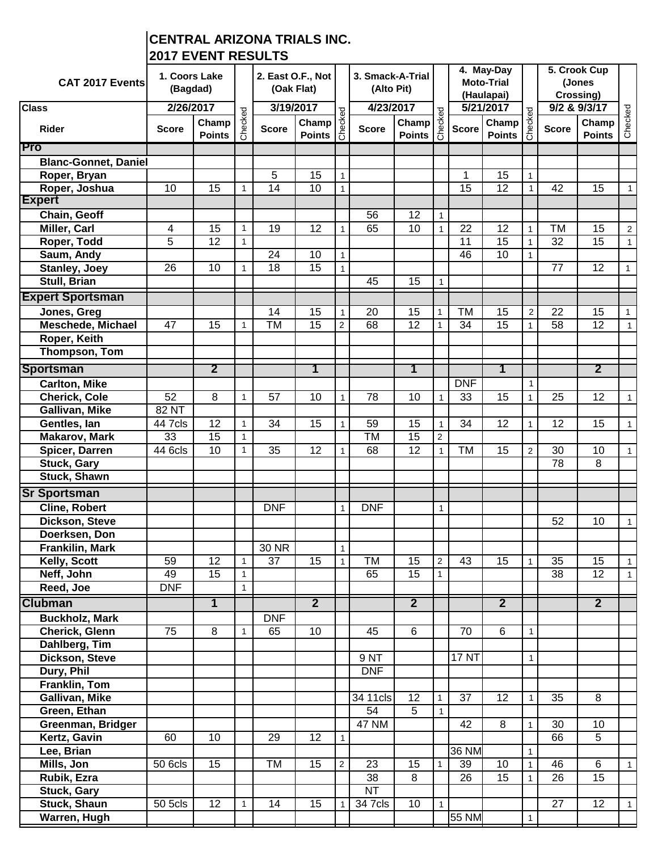## **CENTRAL ARIZONA TRIALS INC. 2017 EVENT RESULTS**

| CAT 2017 Events             | 1. Coors Lake<br>(Bagdad) |                         |              | 2. East O.F., Not<br>(Oak Flat)        |                 |                | 3. Smack-A-Trial<br>(Alto Pit) |                                                                                                                          |                | 4. May-Day<br><b>Moto-Trial</b><br>(Haulapai) |                        |                | 5. Crook Cup<br>(Jones<br>Crossing) |                         |                |
|-----------------------------|---------------------------|-------------------------|--------------|----------------------------------------|-----------------|----------------|--------------------------------|--------------------------------------------------------------------------------------------------------------------------|----------------|-----------------------------------------------|------------------------|----------------|-------------------------------------|-------------------------|----------------|
| <b>Class</b>                | 2/26/2017                 |                         |              | 3/19/2017                              |                 |                | 4/23/2017                      |                                                                                                                          |                |                                               | 5/21/2017              |                |                                     | 9/2 & 9/3/17            |                |
| <b>Rider</b>                | <b>Score</b>              | Champ<br><b>Points</b>  | Checked      | Champ<br><b>Score</b><br><b>Points</b> |                 | peyoeu         | <b>Score</b>                   | $\begin{array}{c}\n 2017 \\  \hline\n \text{Champ} \quad \frac{10}{6} \\  \text{Points} \quad \frac{1}{6}\n \end{array}$ |                | <b>Score</b>                                  | Champ<br><b>Points</b> | Checked        | <b>Score</b>                        | Champ<br><b>Points</b>  | Checked        |
| Pro                         |                           |                         |              |                                        |                 |                |                                |                                                                                                                          |                |                                               |                        |                |                                     |                         |                |
| <b>Blanc-Gonnet, Daniel</b> |                           |                         |              |                                        |                 |                |                                |                                                                                                                          |                |                                               |                        |                |                                     |                         |                |
| Roper, Bryan                |                           |                         |              | 5                                      | 15              | $\mathbf{1}$   |                                |                                                                                                                          |                | 1                                             | 15                     | $\overline{1}$ |                                     |                         |                |
| Roper, Joshua               | 10                        | 15                      | $\mathbf{1}$ | 14                                     | 10              | $\mathbf{1}$   |                                |                                                                                                                          |                | 15                                            | 12                     | $\overline{1}$ | 42                                  | 15                      | $\mathbf 1$    |
| <b>Expert</b>               |                           |                         |              |                                        |                 |                |                                |                                                                                                                          |                |                                               |                        |                |                                     |                         |                |
| Chain, Geoff                |                           |                         |              |                                        |                 |                | 56                             | 12                                                                                                                       | $\mathbf{1}$   |                                               |                        |                |                                     |                         |                |
| Miller, Carl                | 4                         | 15                      | $\mathbf{1}$ | 19                                     | 12              |                | 65                             | 10                                                                                                                       | $\mathbf{1}$   | 22                                            | 12                     | $\mathbf{1}$   | <b>TM</b>                           | 15                      | $\overline{2}$ |
| Roper, Todd                 | $\overline{5}$            | 12                      | $\mathbf{1}$ |                                        |                 |                |                                |                                                                                                                          |                | 11                                            | 15                     | $\overline{1}$ | 32                                  | 15                      | $\mathbf{1}$   |
| Saum, Andy                  |                           |                         |              | 24                                     | 10              | 1              |                                |                                                                                                                          |                | 46                                            | 10                     | $\mathbf{1}$   |                                     |                         |                |
| <b>Stanley, Joey</b>        | 26                        | 10                      | $\mathbf{1}$ | 18                                     | $\overline{15}$ | $\mathbf{1}$   |                                |                                                                                                                          |                |                                               |                        |                | 77                                  | $\overline{12}$         | 1              |
| Stull, Brian                |                           |                         |              |                                        |                 |                | 45                             | 15                                                                                                                       | $\mathbf{1}$   |                                               |                        |                |                                     |                         |                |
| <b>Expert Sportsman</b>     |                           |                         |              |                                        |                 |                |                                |                                                                                                                          |                |                                               |                        |                |                                     |                         |                |
| Jones, Greg                 |                           |                         |              | 14                                     | 15              | 1              | 20                             | 15                                                                                                                       | 1              | TM                                            | 15                     | $\overline{2}$ | 22                                  | 15                      | 1              |
| <b>Meschede, Michael</b>    | 47                        | 15                      | $\mathbf{1}$ | TM                                     | $\overline{15}$ | $\overline{2}$ | 68                             | $\overline{12}$                                                                                                          | $\mathbf{1}$   | 34                                            | $\overline{15}$        | $\mathbf{1}$   | 58                                  | $\overline{12}$         | $\mathbf{1}$   |
| Roper, Keith                |                           |                         |              |                                        |                 |                |                                |                                                                                                                          |                |                                               |                        |                |                                     |                         |                |
| Thompson, Tom               |                           |                         |              |                                        |                 |                |                                |                                                                                                                          |                |                                               |                        |                |                                     |                         |                |
| <b>Sportsman</b>            |                           | $\overline{\mathbf{2}}$ |              |                                        | 1               |                |                                | 1                                                                                                                        |                |                                               | 1                      |                |                                     | $\overline{\mathbf{2}}$ |                |
| <b>Carlton, Mike</b>        |                           |                         |              |                                        |                 |                |                                |                                                                                                                          |                | <b>DNF</b>                                    |                        | $\mathbf{1}$   |                                     |                         |                |
| <b>Cherick, Cole</b>        | 52                        | 8                       | $\mathbf{1}$ | 57                                     | 10              | 1              | 78                             | 10                                                                                                                       | $\mathbf{1}$   | 33                                            | 15                     | $\mathbf{1}$   | 25                                  | 12                      | $\mathbf{1}$   |
| Gallivan, Mike              | 82 NT                     |                         |              |                                        |                 |                |                                |                                                                                                                          |                |                                               |                        |                |                                     |                         |                |
| Gentles, lan                | 44 7 cls                  | 12                      | $\mathbf{1}$ | 34                                     | 15              | 1              | 59                             | 15                                                                                                                       | $\mathbf{1}$   | 34                                            | 12                     | $\mathbf{1}$   | 12                                  | 15                      | $\mathbf{1}$   |
| <b>Makarov, Mark</b>        | $\overline{33}$           | $\overline{15}$         | $\mathbf{1}$ |                                        |                 |                | TM                             | $\overline{15}$                                                                                                          | 2              |                                               |                        |                |                                     |                         |                |
| Spicer, Darren              | 44 6cls                   | 10                      | $\mathbf{1}$ | 35                                     | 12              |                | 68                             | 12                                                                                                                       | $\mathbf{1}$   | <b>TM</b>                                     | 15                     | $\overline{c}$ | 30                                  | 10                      | $\mathbf{1}$   |
| <b>Stuck, Gary</b>          |                           |                         |              |                                        |                 |                |                                |                                                                                                                          |                |                                               |                        |                | 78                                  | 8                       |                |
| Stuck, Shawn                |                           |                         |              |                                        |                 |                |                                |                                                                                                                          |                |                                               |                        |                |                                     |                         |                |
| <b>Sr Sportsman</b>         |                           |                         |              |                                        |                 |                |                                |                                                                                                                          |                |                                               |                        |                |                                     |                         |                |
| <b>Cline, Robert</b>        |                           |                         |              | <b>DNF</b>                             |                 | $\mathbf{1}$   | <b>DNF</b>                     |                                                                                                                          | $\mathbf{1}$   |                                               |                        |                |                                     |                         |                |
| Dickson, Steve              |                           |                         |              |                                        |                 |                |                                |                                                                                                                          |                |                                               |                        |                | 52                                  | 10                      | $\mathbf{1}$   |
| Doerksen, Don               |                           |                         |              |                                        |                 |                |                                |                                                                                                                          |                |                                               |                        |                |                                     |                         |                |
| Frankilin, Mark             |                           |                         |              | 30 NR                                  |                 | 1              |                                |                                                                                                                          |                |                                               |                        |                |                                     |                         |                |
| Kelly, Scott                | 59                        | $\overline{12}$         | 1            | 37                                     | $\overline{15}$ |                | <b>TM</b>                      | $\overline{15}$                                                                                                          | $\overline{2}$ | 43                                            | $\overline{15}$        | $\mathbf{1}$   | $\overline{35}$                     | $\overline{15}$         | $\mathbf{1}$   |
| Neff, John                  | 49                        | $\overline{15}$         | $\mathbf{1}$ |                                        |                 |                | 65                             | $\overline{15}$                                                                                                          | 1              |                                               |                        |                | $\overline{38}$                     | $\overline{12}$         | $\mathbf{1}$   |
| Reed, Joe                   | <b>DNF</b>                |                         | $\mathbf{1}$ |                                        |                 |                |                                |                                                                                                                          |                |                                               |                        |                |                                     |                         |                |
| <b>Clubman</b>              |                           | $\overline{1}$          |              |                                        | $\overline{2}$  |                |                                | $\overline{2}$                                                                                                           |                |                                               | $\overline{2}$         |                |                                     | $\overline{2}$          |                |
| <b>Buckholz, Mark</b>       |                           |                         |              | <b>DNF</b>                             |                 |                |                                |                                                                                                                          |                |                                               |                        |                |                                     |                         |                |
| Cherick, Glenn              | 75                        | 8                       | $\mathbf{1}$ | 65                                     | 10 <sup>°</sup> |                | 45                             | 6                                                                                                                        |                | 70                                            | $\overline{6}$         | $\overline{1}$ |                                     |                         |                |
| Dahlberg, Tim               |                           |                         |              |                                        |                 |                |                                |                                                                                                                          |                |                                               |                        |                |                                     |                         |                |
| Dickson, Steve              |                           |                         |              |                                        |                 |                | 9 NT                           |                                                                                                                          |                | <b>17 NT</b>                                  |                        | $\mathbf{1}$   |                                     |                         |                |
| Dury, Phil                  |                           |                         |              |                                        |                 |                | <b>DNF</b>                     |                                                                                                                          |                |                                               |                        |                |                                     |                         |                |
| Franklin, Tom               |                           |                         |              |                                        |                 |                |                                |                                                                                                                          |                |                                               |                        |                |                                     |                         |                |
| Gallivan, Mike              |                           |                         |              |                                        |                 |                | 34 11cls                       | 12                                                                                                                       | $\mathbf{1}$   | $\overline{37}$                               | $\overline{12}$        | $\overline{1}$ | 35                                  | 8                       |                |
| Green, Ethan                |                           |                         |              |                                        |                 |                | 54                             | 5                                                                                                                        | $\mathbf{1}$   |                                               |                        |                |                                     |                         |                |
| Greenman, Bridger           |                           |                         |              |                                        |                 |                | <b>47 NM</b>                   |                                                                                                                          |                | 42                                            | 8                      | $\mathbf{1}$   | 30                                  | 10                      |                |
| Kertz, Gavin                | 60                        | 10                      |              | 29                                     | 12              | $\mathbf{1}$   |                                |                                                                                                                          |                |                                               |                        |                | 66                                  | 5                       |                |
| Lee, Brian                  |                           |                         |              |                                        |                 |                |                                |                                                                                                                          |                | <b>36 NM</b>                                  |                        | $\mathbf{1}$   |                                     |                         |                |
| Mills, Jon                  | 50 6cls                   | 15                      |              | TM                                     | 15              | $\overline{2}$ | 23                             | 15                                                                                                                       | $\mathbf{1}$   | 39                                            | 10                     | $\mathbf{1}$   | 46                                  | 6                       | $\mathbf{1}$   |
| Rubik, Ezra                 |                           |                         |              |                                        |                 |                | 38                             | 8                                                                                                                        |                | 26                                            | 15                     | $\mathbf{1}$   | 26                                  | 15                      |                |
| <b>Stuck, Gary</b>          |                           |                         |              |                                        |                 |                | $\overline{\text{NT}}$         |                                                                                                                          |                |                                               |                        |                |                                     |                         |                |
| Stuck, Shaun                | 50 5cls                   | $\overline{12}$         | $\mathbf{1}$ | 14                                     | 15              |                | 34 7 cls                       | 10                                                                                                                       | $\mathbf{1}$   |                                               |                        |                | 27                                  | 12                      | $\mathbf{1}$   |
| Warren, Hugh                |                           |                         |              |                                        |                 |                |                                |                                                                                                                          |                | 55 NM                                         |                        | $\mathbf{1}$   |                                     |                         |                |
|                             |                           |                         |              |                                        |                 |                |                                |                                                                                                                          |                |                                               |                        |                |                                     |                         |                |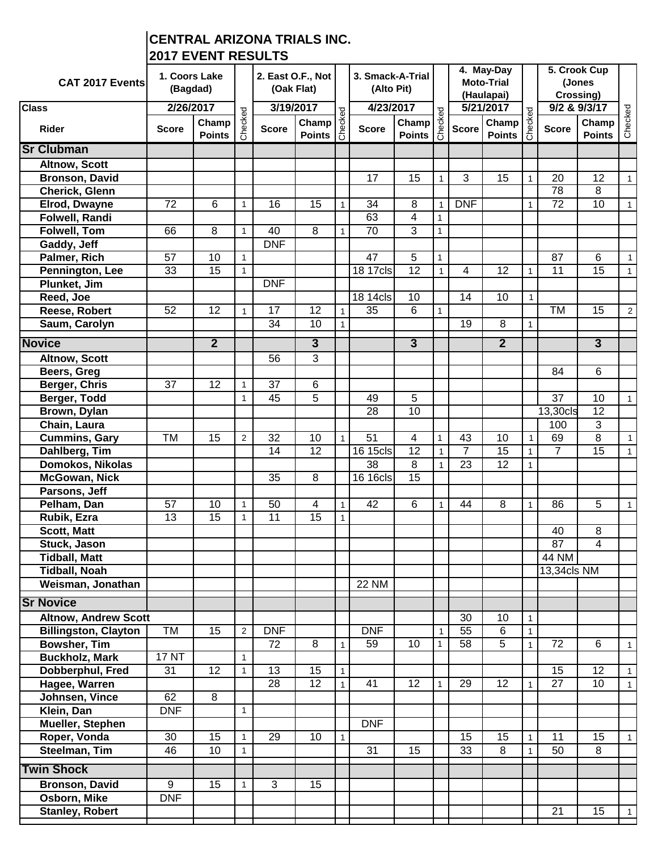## **CENTRAL ARIZONA TRIALS INC. 2017 EVENT RESULTS**

| CAT 2017 Events                       | 1. Coors Lake<br>(Bagdad) |                        |                | 2. East O.F., Not<br>(Oak Flat) |                                                                                                                                    |              | 3. Smack-A-Trial<br>(Alto Pit) |                                                                                                                          | 4. May-Day<br><b>Moto-Trial</b><br>(Haulapai) |                 |                        | 5. Crook Cup<br>(Jones<br>Crossing) |                |                        |                |
|---------------------------------------|---------------------------|------------------------|----------------|---------------------------------|------------------------------------------------------------------------------------------------------------------------------------|--------------|--------------------------------|--------------------------------------------------------------------------------------------------------------------------|-----------------------------------------------|-----------------|------------------------|-------------------------------------|----------------|------------------------|----------------|
| <b>Class</b>                          | 2/26/2017                 |                        |                | 3/19/2017                       |                                                                                                                                    |              | 4/23/2017                      |                                                                                                                          |                                               | 5/21/2017       |                        |                                     |                | 9/2 & 9/3/17           |                |
| <b>Rider</b>                          | <b>Score</b>              | Champ<br><b>Points</b> | Checked        | <b>Score</b>                    | $\begin{array}{c}\n 2017 \\  \hline\n \text{Champ} \quad \frac{9}{6} \\  \text{Points} \quad \frac{1}{6} \\  \end{array}$<br>Champ |              | <b>Score</b>                   | $\begin{array}{c}\n 17 \\  \hline\n \text{Champ} \quad \frac{10}{6} \\  \text{Points} \quad \frac{1}{6} \\  \end{array}$ |                                               | <b>Score</b>    | Champ<br><b>Points</b> | Checked                             | <b>Score</b>   | Champ<br><b>Points</b> | Checked        |
| <b>Sr Clubman</b>                     |                           |                        |                |                                 |                                                                                                                                    |              |                                |                                                                                                                          |                                               |                 |                        |                                     |                |                        |                |
| <b>Altnow, Scott</b>                  |                           |                        |                |                                 |                                                                                                                                    |              |                                |                                                                                                                          |                                               |                 |                        |                                     |                |                        |                |
| <b>Bronson, David</b>                 |                           |                        |                |                                 |                                                                                                                                    |              | 17                             | 15                                                                                                                       | $\mathbf{1}$                                  | 3               | 15                     | $\mathbf{1}$                        | 20             | 12                     | $\mathbf{1}$   |
| Cherick, Glenn                        |                           |                        |                |                                 |                                                                                                                                    |              |                                |                                                                                                                          |                                               |                 |                        |                                     | 78             | 8                      |                |
| Elrod, Dwayne                         | 72                        | 6                      | $\mathbf{1}$   | 16                              | 15                                                                                                                                 | $\mathbf{1}$ | 34                             | 8                                                                                                                        | $\mathbf{1}$                                  | <b>DNF</b>      |                        | $\mathbf{1}$                        | 72             | 10                     | $\mathbf{1}$   |
| <b>Folwell, Randi</b>                 |                           |                        |                |                                 |                                                                                                                                    |              | 63                             | 4                                                                                                                        | $\mathbf{1}$                                  |                 |                        |                                     |                |                        |                |
| Folwell, Tom                          | 66                        | 8                      | $\mathbf{1}$   | 40                              | 8                                                                                                                                  | 1            | 70                             | $\overline{3}$                                                                                                           | $\mathbf{1}$                                  |                 |                        |                                     |                |                        |                |
| Gaddy, Jeff                           |                           |                        |                | <b>DNF</b>                      |                                                                                                                                    |              |                                |                                                                                                                          |                                               |                 |                        |                                     |                |                        |                |
| Palmer, Rich                          | 57                        | 10<br>$\overline{15}$  | $\mathbf{1}$   |                                 |                                                                                                                                    |              | $\overline{47}$                | $\overline{5}$<br>$\overline{12}$                                                                                        | $\mathbf{1}$                                  |                 |                        |                                     | 87             | 6                      | $\mathbf{1}$   |
| Pennington, Lee<br>Plunket, Jim       | 33                        |                        | 1              | <b>DNF</b>                      |                                                                                                                                    |              | 18 17cls                       |                                                                                                                          | $\mathbf{1}$                                  | 4               | 12                     | $\mathbf{1}$                        | 11             | 15                     |                |
| Reed, Joe                             |                           |                        |                |                                 |                                                                                                                                    |              | 18 14cls                       | 10                                                                                                                       |                                               | 14              | 10                     | 1                                   |                |                        |                |
| Reese, Robert                         | 52                        | 12                     | 1              | 17                              | 12                                                                                                                                 | $\mathbf{1}$ | 35                             | 6                                                                                                                        | $\mathbf{1}$                                  |                 |                        |                                     | <b>TM</b>      | 15                     | $\overline{2}$ |
| Saum, Carolyn                         |                           |                        |                | 34                              | 10                                                                                                                                 | $\mathbf{1}$ |                                |                                                                                                                          |                                               | 19              | 8                      | $\mathbf{1}$                        |                |                        |                |
|                                       |                           |                        |                |                                 |                                                                                                                                    |              |                                |                                                                                                                          |                                               |                 |                        |                                     |                |                        |                |
| <b>Novice</b>                         |                           | $\overline{2}$         |                |                                 | $\overline{3}$                                                                                                                     |              |                                | $\overline{3}$                                                                                                           |                                               |                 | $\overline{2}$         |                                     |                | $\overline{3}$         |                |
| Altnow, Scott                         |                           |                        |                | 56                              | $\overline{3}$                                                                                                                     |              |                                |                                                                                                                          |                                               |                 |                        |                                     |                |                        |                |
| Beers, Greg                           |                           |                        |                |                                 |                                                                                                                                    |              |                                |                                                                                                                          |                                               |                 |                        |                                     | 84             | 6                      |                |
| <b>Berger, Chris</b>                  | $\overline{37}$           | $\overline{12}$        | $\mathbf{1}$   | 37                              | 6                                                                                                                                  |              |                                |                                                                                                                          |                                               |                 |                        |                                     |                |                        |                |
| Berger, Todd                          |                           |                        | $\mathbf{1}$   | 45                              | 5                                                                                                                                  |              | 49                             | 5                                                                                                                        |                                               |                 |                        |                                     | 37             | 10                     | $\mathbf{1}$   |
| Brown, Dylan                          |                           |                        |                |                                 |                                                                                                                                    |              | 28                             | 10                                                                                                                       |                                               |                 |                        |                                     | 13,30cls       | 12<br>3                |                |
| Chain, Laura                          | TM                        | 15                     | $\mathbf{2}$   | 32                              | 10                                                                                                                                 |              | $\overline{51}$                | 4                                                                                                                        | $\mathbf{1}$                                  | 43              | 10                     | $\mathbf{1}$                        | 100<br>69      | 8                      | $\mathbf{1}$   |
| <b>Cummins, Gary</b><br>Dahlberg, Tim |                           |                        |                | 14                              | 12                                                                                                                                 |              | $\overline{16}$ 15cls          | 12                                                                                                                       | $\mathbf{1}$                                  | $\overline{7}$  | 15                     |                                     | $\overline{7}$ | 15                     |                |
| Domokos, Nikolas                      |                           |                        |                |                                 |                                                                                                                                    |              | 38                             | 8                                                                                                                        | $\mathbf{1}$                                  | 23              | 12                     | $\mathbf{1}$<br>$\mathbf{1}$        |                |                        |                |
| <b>McGowan, Nick</b>                  |                           |                        |                | 35                              | 8                                                                                                                                  |              | 16 16cls                       | 15                                                                                                                       |                                               |                 |                        |                                     |                |                        |                |
| Parsons, Jeff                         |                           |                        |                |                                 |                                                                                                                                    |              |                                |                                                                                                                          |                                               |                 |                        |                                     |                |                        |                |
| Pelham, Dan                           | 57                        | 10                     | $\mathbf{1}$   | 50                              | 4                                                                                                                                  | 1            | 42                             | 6                                                                                                                        | $\mathbf{1}$                                  | 44              | 8                      | $\mathbf{1}$                        | 86             | 5                      | $\mathbf{1}$   |
| Rubik, Ezra                           | 13                        | 15                     | $\mathbf{1}$   | 11                              | 15                                                                                                                                 | 1            |                                |                                                                                                                          |                                               |                 |                        |                                     |                |                        |                |
| <b>Scott, Matt</b>                    |                           |                        |                |                                 |                                                                                                                                    |              |                                |                                                                                                                          |                                               |                 |                        |                                     | 40             | 8                      |                |
| Stuck, Jason                          |                           |                        |                |                                 |                                                                                                                                    |              |                                |                                                                                                                          |                                               |                 |                        |                                     | 87             | 4                      |                |
| <b>Tidball, Matt</b>                  |                           |                        |                |                                 |                                                                                                                                    |              |                                |                                                                                                                          |                                               |                 |                        |                                     | 44 NM          |                        |                |
| <b>Tidball, Noah</b>                  |                           |                        |                |                                 |                                                                                                                                    |              |                                |                                                                                                                          |                                               |                 |                        |                                     | 13,34cls NM    |                        |                |
| Weisman, Jonathan                     |                           |                        |                |                                 |                                                                                                                                    |              | <b>22 NM</b>                   |                                                                                                                          |                                               |                 |                        |                                     |                |                        |                |
| <b>Sr Novice</b>                      |                           |                        |                |                                 |                                                                                                                                    |              |                                |                                                                                                                          |                                               |                 |                        |                                     |                |                        |                |
| <b>Altnow, Andrew Scott</b>           |                           |                        |                |                                 |                                                                                                                                    |              |                                |                                                                                                                          |                                               | 30              | 10                     | $\mathbf{1}$                        |                |                        |                |
| <b>Billingston, Clayton</b>           | TM                        | 15                     | $\overline{2}$ | <b>DNF</b>                      |                                                                                                                                    |              | <b>DNF</b>                     |                                                                                                                          | 1                                             | $\overline{55}$ | 6                      | $\mathbf{1}$                        |                |                        |                |
| <b>Bowsher, Tim</b>                   |                           |                        |                | 72                              | $\overline{8}$                                                                                                                     | 1            | 59                             | 10                                                                                                                       | $\mathbf{1}$                                  | 58              | 5                      | $\mathbf{1}$                        | 72             | 6                      | $\mathbf{1}$   |
| <b>Buckholz, Mark</b>                 | <b>17 NT</b>              |                        | $\mathbf{1}$   |                                 |                                                                                                                                    |              |                                |                                                                                                                          |                                               |                 |                        |                                     |                |                        |                |
| Dobberphul, Fred                      | 31                        | $\overline{12}$        | 1              | 13                              | 15                                                                                                                                 | 1            |                                |                                                                                                                          |                                               |                 |                        |                                     | 15             | $\overline{12}$        | $\mathbf{1}$   |
| Hagee, Warren                         |                           |                        |                | 28                              | $\overline{12}$                                                                                                                    | $\mathbf{1}$ | 41                             | 12                                                                                                                       |                                               | 29              | 12                     | $\mathbf{1}$                        | 27             | 10                     | $\mathbf{1}$   |
| Johnsen, Vince                        | 62                        | 8                      |                |                                 |                                                                                                                                    |              |                                |                                                                                                                          |                                               |                 |                        |                                     |                |                        |                |
| Klein, Dan                            | <b>DNF</b>                |                        | $\mathbf{1}$   |                                 |                                                                                                                                    |              |                                |                                                                                                                          |                                               |                 |                        |                                     |                |                        |                |
| Mueller, Stephen                      |                           |                        |                |                                 |                                                                                                                                    |              | <b>DNF</b>                     |                                                                                                                          |                                               |                 |                        |                                     |                |                        |                |
| Roper, Vonda                          | 30                        | 15                     | $\mathbf{1}$   | 29                              | 10                                                                                                                                 | 1            |                                |                                                                                                                          |                                               | 15              | 15                     | $\mathbf{1}$                        | 11             | 15                     | $\mathbf{1}$   |
| Steelman, Tim                         | 46                        | 10                     | $\mathbf{1}$   |                                 |                                                                                                                                    |              | 31                             | 15                                                                                                                       |                                               | 33              | 8                      | $\mathbf{1}$                        | 50             | 8                      |                |
| <b>Twin Shock</b>                     |                           |                        |                |                                 |                                                                                                                                    |              |                                |                                                                                                                          |                                               |                 |                        |                                     |                |                        |                |
| <b>Bronson, David</b>                 | $\overline{9}$            | 15                     | $\mathbf{1}$   | 3                               | 15                                                                                                                                 |              |                                |                                                                                                                          |                                               |                 |                        |                                     |                |                        |                |
| Osborn, Mike                          | <b>DNF</b>                |                        |                |                                 |                                                                                                                                    |              |                                |                                                                                                                          |                                               |                 |                        |                                     |                |                        |                |
| <b>Stanley, Robert</b>                |                           |                        |                |                                 |                                                                                                                                    |              |                                |                                                                                                                          |                                               |                 |                        |                                     | 21             | 15                     | 1              |
|                                       |                           |                        |                |                                 |                                                                                                                                    |              |                                |                                                                                                                          |                                               |                 |                        |                                     |                |                        |                |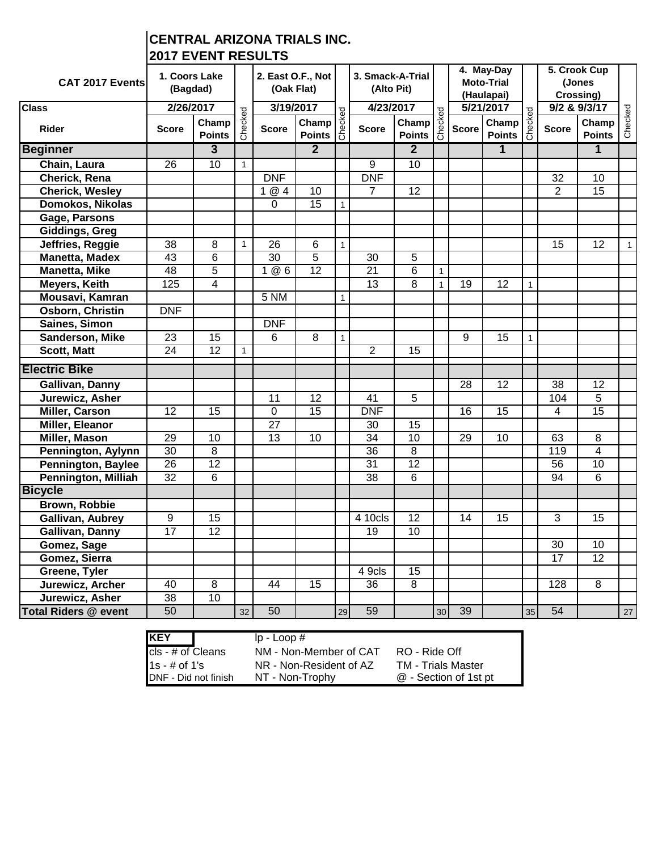## **CENTRAL ARIZONA TRIALS INC. 2017 EVENT RESULTS**

| <b>CAT 2017 Events</b>      | 1. Coors Lake<br>(Bagdad) |                        |              | 2. East O.F., Not<br>(Oak Flat) |                        |              | 3. Smack-A-Trial<br>(Alto Pit) |                                                                                                                                                       |                 | 4. May-Day<br><b>Moto-Trial</b><br>(Haulapai) |                                                                                                                           |              |                 | 5. Crook Cup<br>(Jones<br>Crossing) |              |
|-----------------------------|---------------------------|------------------------|--------------|---------------------------------|------------------------|--------------|--------------------------------|-------------------------------------------------------------------------------------------------------------------------------------------------------|-----------------|-----------------------------------------------|---------------------------------------------------------------------------------------------------------------------------|--------------|-----------------|-------------------------------------|--------------|
| <b>Class</b>                | 2/26/2017                 |                        |              | 3/19/2017                       |                        |              | 4/23/2017                      |                                                                                                                                                       |                 | 5/21/2017                                     |                                                                                                                           |              |                 | 9/2 & 9/3/17                        |              |
| <b>Rider</b>                | <b>Score</b>              | Champ<br><b>Points</b> | Checked      | <b>Score</b>                    | Champ<br><b>Points</b> | Checked      | <b>Score</b>                   | $\begin{array}{c c}\n\textbf{017} & \textbf{0} \\ \hline\n\textbf{Champ} & \textbf{0} \\ \hline\n\textbf{Points} & \textbf{0} \\ \hline\n\end{array}$ |                 | <b>Score</b>                                  | $\begin{array}{c}\n 2017 \\  \hline\n \text{Champ} \quad \frac{9}{6} \\  \text{Points} \quad \frac{3}{6} \\  \end{array}$ |              | <b>Score</b>    | Champ<br><b>Points</b>              | Checked      |
| <b>Beginner</b>             |                           | $\overline{3}$         |              |                                 | $\overline{2}$         |              |                                | $\overline{2}$                                                                                                                                        |                 |                                               | $\overline{1}$                                                                                                            |              |                 | $\overline{1}$                      |              |
| Chain, Laura                | 26                        | 10                     | $\mathbf{1}$ |                                 |                        |              | 9                              | 10                                                                                                                                                    |                 |                                               |                                                                                                                           |              |                 |                                     |              |
| Cherick, Rena               |                           |                        |              | <b>DNF</b>                      |                        |              | <b>DNF</b>                     |                                                                                                                                                       |                 |                                               |                                                                                                                           |              | 32              | 10                                  |              |
| <b>Cherick, Wesley</b>      |                           |                        |              | 1@4                             | 10                     |              | 7                              | 12                                                                                                                                                    |                 |                                               |                                                                                                                           |              | 2               | 15                                  |              |
| Domokos, Nikolas            |                           |                        |              | $\overline{0}$                  | $\overline{15}$        |              |                                |                                                                                                                                                       |                 |                                               |                                                                                                                           |              |                 |                                     |              |
| Gage, Parsons               |                           |                        |              |                                 |                        |              |                                |                                                                                                                                                       |                 |                                               |                                                                                                                           |              |                 |                                     |              |
| <b>Giddings, Greg</b>       |                           |                        |              |                                 |                        |              |                                |                                                                                                                                                       |                 |                                               |                                                                                                                           |              |                 |                                     |              |
| Jeffries, Reggie            | 38                        | 8                      | $\mathbf{1}$ | 26                              | 6                      | $\mathbf{1}$ |                                |                                                                                                                                                       |                 |                                               |                                                                                                                           |              | 15              | 12                                  | $\mathbf{1}$ |
| <b>Manetta, Madex</b>       | $\overline{43}$           | $\overline{6}$         |              | 30                              | $\overline{5}$         |              | $\overline{30}$                | 5                                                                                                                                                     |                 |                                               |                                                                                                                           |              |                 |                                     |              |
| <b>Manetta, Mike</b>        | 48                        | $\overline{5}$         |              | 1@6                             | $\overline{12}$        |              | $\overline{21}$                | 6                                                                                                                                                     | $\mathbf{1}$    |                                               |                                                                                                                           |              |                 |                                     |              |
| <b>Meyers, Keith</b>        | 125                       | $\overline{4}$         |              |                                 |                        |              | $\overline{13}$                | $\overline{8}$                                                                                                                                        | $\mathbf{1}$    | $\overline{19}$                               | 12                                                                                                                        | $\mathbf{1}$ |                 |                                     |              |
| Mousavi, Kamran             |                           |                        |              | 5 NM                            |                        | $\mathbf{1}$ |                                |                                                                                                                                                       |                 |                                               |                                                                                                                           |              |                 |                                     |              |
| Osborn, Christin            | <b>DNF</b>                |                        |              |                                 |                        |              |                                |                                                                                                                                                       |                 |                                               |                                                                                                                           |              |                 |                                     |              |
| Saines, Simon               |                           |                        |              | <b>DNF</b>                      |                        |              |                                |                                                                                                                                                       |                 |                                               |                                                                                                                           |              |                 |                                     |              |
| Sanderson, Mike             | 23                        | 15                     |              | 6                               | $\overline{8}$         | $\mathbf{1}$ |                                |                                                                                                                                                       |                 | $\overline{9}$                                | 15                                                                                                                        | $\mathbf{1}$ |                 |                                     |              |
| <b>Scott, Matt</b>          | 24                        | $\overline{12}$        | $\mathbf{1}$ |                                 |                        |              | $\overline{2}$                 | 15                                                                                                                                                    |                 |                                               |                                                                                                                           |              |                 |                                     |              |
| <b>Electric Bike</b>        |                           |                        |              |                                 |                        |              |                                |                                                                                                                                                       |                 |                                               |                                                                                                                           |              |                 |                                     |              |
| Gallivan, Danny             |                           |                        |              |                                 |                        |              |                                |                                                                                                                                                       |                 | 28                                            | $\overline{12}$                                                                                                           |              | 38              | 12                                  |              |
| Jurewicz, Asher             |                           |                        |              | 11                              | 12                     |              | 41                             | 5                                                                                                                                                     |                 |                                               |                                                                                                                           |              | 104             | 5                                   |              |
| <b>Miller, Carson</b>       | $\overline{12}$           | 15                     |              | $\overline{0}$                  | $\overline{15}$        |              | <b>DNF</b>                     |                                                                                                                                                       |                 | 16                                            | $\overline{15}$                                                                                                           |              | 4               | $\overline{15}$                     |              |
| Miller, Eleanor             |                           |                        |              | 27                              |                        |              | 30                             | 15                                                                                                                                                    |                 |                                               |                                                                                                                           |              |                 |                                     |              |
| Miller, Mason               | 29                        | 10                     |              | 13                              | 10                     |              | 34                             | 10                                                                                                                                                    |                 | 29                                            | 10                                                                                                                        |              | 63              | 8                                   |              |
| Pennington, Aylynn          | 30                        | $\overline{8}$         |              |                                 |                        |              | 36                             | $\overline{8}$                                                                                                                                        |                 |                                               |                                                                                                                           |              | 119             | $\overline{\mathbf{4}}$             |              |
| <b>Pennington, Baylee</b>   | $\overline{26}$           | $\overline{12}$        |              |                                 |                        |              | $\overline{31}$                | $\overline{12}$                                                                                                                                       |                 |                                               |                                                                                                                           |              | 56              | 10                                  |              |
| <b>Pennington, Milliah</b>  | $\overline{32}$           | 6                      |              |                                 |                        |              | $\overline{38}$                | 6                                                                                                                                                     |                 |                                               |                                                                                                                           |              | 94              | 6                                   |              |
| <b>Bicycle</b>              |                           |                        |              |                                 |                        |              |                                |                                                                                                                                                       |                 |                                               |                                                                                                                           |              |                 |                                     |              |
| <b>Brown, Robbie</b>        |                           |                        |              |                                 |                        |              |                                |                                                                                                                                                       |                 |                                               |                                                                                                                           |              |                 |                                     |              |
| Gallivan, Aubrey            | $\overline{9}$            | $\overline{15}$        |              |                                 |                        |              | 4 10cls                        | 12                                                                                                                                                    |                 | $\overline{14}$                               | $\overline{15}$                                                                                                           |              | $\overline{3}$  | 15                                  |              |
| Gallivan, Danny             | 17                        | $\overline{12}$        |              |                                 |                        |              | 19                             | 10                                                                                                                                                    |                 |                                               |                                                                                                                           |              |                 |                                     |              |
| Gomez, Sage                 |                           |                        |              |                                 |                        |              |                                |                                                                                                                                                       |                 |                                               |                                                                                                                           |              | $\overline{30}$ | 10                                  |              |
| Gomez, Sierra               |                           |                        |              |                                 |                        |              |                                |                                                                                                                                                       |                 |                                               |                                                                                                                           |              | 17              | 12                                  |              |
| Greene, Tyler               |                           |                        |              |                                 |                        |              | 4 9cls                         | 15                                                                                                                                                    |                 |                                               |                                                                                                                           |              |                 |                                     |              |
| Jurewicz, Archer            | 40                        | $\overline{8}$         |              | 44                              | $\overline{15}$        |              | 36                             | 8                                                                                                                                                     |                 |                                               |                                                                                                                           |              | 128             | $\overline{8}$                      |              |
| Jurewicz, Asher             | $\overline{38}$           | 10                     |              |                                 |                        |              |                                |                                                                                                                                                       |                 |                                               |                                                                                                                           |              |                 |                                     |              |
| <b>Total Riders @ event</b> | 50                        |                        | 32           | 50                              |                        | 29           | 59                             |                                                                                                                                                       | 30 <sup>°</sup> | 39                                            |                                                                                                                           | 35           | 54              |                                     | 27           |

| <b>KEY</b>           | $lp - Loop #$           |                           |
|----------------------|-------------------------|---------------------------|
| cls - # of Cleans    | NM - Non-Member of CAT  | RO - Ride Off             |
| $1s - # of 1's$      | NR - Non-Resident of AZ | <b>TM - Trials Master</b> |
| DNF - Did not finish | NT - Non-Trophy         | @ - Section of 1st pt     |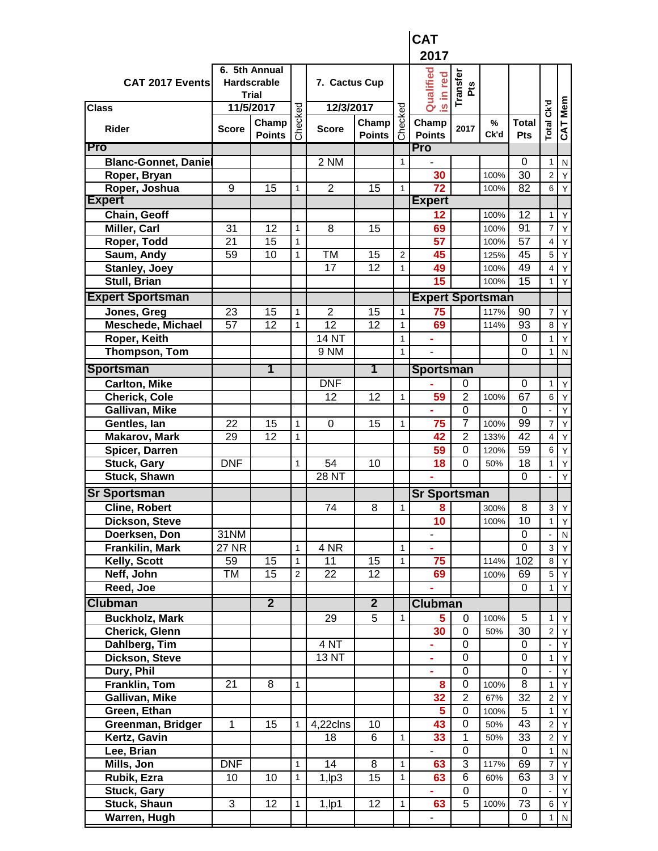|                              |                 |                                                     |                              |                 |                        |              | <b>CAT</b>                   |                        |              |                            |                     |              |
|------------------------------|-----------------|-----------------------------------------------------|------------------------------|-----------------|------------------------|--------------|------------------------------|------------------------|--------------|----------------------------|---------------------|--------------|
|                              |                 |                                                     |                              |                 |                        |              | 2017                         |                        |              |                            |                     |              |
| CAT 2017 Events              |                 | 6. 5th Annual<br><b>Hardscrable</b><br><b>Trial</b> |                              | 7. Cactus Cup   |                        |              | Qualified<br>red<br><u>ء</u> | Transfer<br><b>Pts</b> |              |                            |                     |              |
| <b>Class</b>                 |                 | 11/5/2017                                           |                              | 12/3/2017       |                        |              | $\overline{\omega}$          |                        |              |                            |                     |              |
| <b>Rider</b>                 | <b>Score</b>    | Champ<br><b>Points</b>                              | Checked                      | <b>Score</b>    | Champ<br><b>Points</b> | Checked      | Champ<br><b>Points</b>       | 2017                   | $\%$<br>Ck'd | <b>Total</b><br>Pts        | Total Ck'd          | CAT Mem      |
| Pro                          |                 |                                                     |                              |                 |                        |              | Pro                          |                        |              |                            |                     |              |
| <b>Blanc-Gonnet, Danie</b>   |                 |                                                     |                              | 2 NM            |                        | 1            |                              |                        |              | $\Omega$                   | $\mathbf{1}$        | N            |
| Roper, Bryan                 |                 |                                                     |                              |                 |                        |              | 30                           |                        | 100%         | 30                         | $\overline{c}$      | Y            |
| Roper, Joshua                | 9               | 15                                                  | 1                            | $\overline{2}$  | 15                     | 1            | $\overline{72}$              |                        | 100%         | 82                         | 6                   | Y            |
| <b>Expert</b>                |                 |                                                     |                              |                 |                        |              | <b>Expert</b>                |                        |              |                            |                     |              |
| Chain, Geoff                 |                 | 12                                                  |                              | 8               |                        |              | 12                           |                        | 100%         | 12<br>91                   | 1<br>$\overline{7}$ | Y            |
| Miller, Carl<br>Roper, Todd  | 31<br>21        | 15                                                  | $\mathbf{1}$<br>$\mathbf{1}$ |                 | 15                     |              | 69<br>57                     |                        | 100%<br>100% | 57                         | $\overline{4}$      | Υ<br>Υ       |
| Saum, Andy                   | 59              | 10                                                  | 1                            | TM              | 15                     | 2            | 45                           |                        | 125%         | 45                         | 5                   | Y            |
| <b>Stanley, Joey</b>         |                 |                                                     |                              | $\overline{17}$ | 12                     | 1            | 49                           |                        | 100%         | 49                         | $\overline{4}$      | Y            |
| Stull, Brian                 |                 |                                                     |                              |                 |                        |              | 15                           |                        | 100%         | 15                         | 1                   | Y            |
| <b>Expert Sportsman</b>      |                 |                                                     |                              |                 |                        |              | <b>Expert Sportsman</b>      |                        |              |                            |                     |              |
| Jones, Greg                  | 23              | 15                                                  | 1                            | $\overline{2}$  | 15                     | 1            | 75                           |                        | 117%         | 90                         | 7                   | Y            |
| <b>Meschede, Michael</b>     | 57              | $\overline{12}$                                     | 1                            | $\overline{12}$ | $\overline{12}$        | 1            | 69                           |                        | 114%         | 93                         | 8                   | Y            |
| Roper, Keith                 |                 |                                                     |                              | 14 NT           |                        | 1            |                              |                        |              | 0                          | 1                   | Y            |
| Thompson, Tom                |                 |                                                     |                              | 9 NM            |                        | 1            | ÷,                           |                        |              | $\Omega$                   | 1                   | ${\sf N}$    |
| <b>Sportsman</b>             |                 | 1                                                   |                              |                 | 1                      |              | <b>Sportsman</b>             |                        |              |                            |                     |              |
| <b>Carlton, Mike</b>         |                 |                                                     |                              | <b>DNF</b>      |                        |              |                              | 0                      |              | 0                          | $\mathbf{1}$        | Y            |
| <b>Cherick, Cole</b>         |                 |                                                     |                              | 12              | 12                     | 1            | 59                           | $\overline{2}$         | 100%         | 67                         | $\,6$               | Y            |
| Gallivan, Mike               |                 |                                                     |                              |                 |                        |              |                              | $\mathbf 0$            |              | 0                          |                     | Y            |
| Gentles, lan                 | 22              | 15                                                  | 1                            | 0               | 15                     | 1            | 75                           | 7                      | 100%         | 99                         | $\overline{7}$      | Y            |
| <b>Makarov, Mark</b>         | 29              | 12                                                  | $\mathbf{1}$                 |                 |                        |              | 42                           | $\overline{2}$         | 133%         | 42                         | 4                   | Υ            |
| Spicer, Darren               |                 |                                                     |                              |                 |                        |              | 59                           | $\mathbf 0$            | 120%         | 59                         | 6                   | Υ            |
| Stuck, Gary                  | <b>DNF</b>      |                                                     | $\mathbf{1}$                 | 54              | 10                     |              | 18                           | $\mathbf 0$            | 50%          | 18                         | $\mathbf{1}$        | Υ            |
| Stuck, Shawn                 |                 |                                                     |                              | 28 NT           |                        |              |                              |                        |              | 0                          |                     | Y            |
| <b>Sr Sportsman</b>          |                 |                                                     |                              |                 |                        |              | <b>Sr Sportsman</b>          |                        |              |                            |                     |              |
| <b>Cline, Robert</b>         |                 |                                                     |                              | 74              | 8                      | $\mathbf{1}$ | 8                            |                        | 300%         | 8                          | 3                   | Y            |
| Dickson, Steve               |                 |                                                     |                              |                 |                        |              | 10                           |                        | 100%         | 10                         | $\mathbf{1}$        | Υ            |
| Doerksen, Don                | 31NM            |                                                     |                              |                 |                        |              |                              |                        |              | 0                          |                     | ${\sf N}$    |
| Frankilin, Mark              | <b>27 NR</b>    |                                                     | $\mathbf{1}$                 | 4 NR            |                        | 1            | ÷.                           |                        |              | $\overline{0}$             | $\mathbf{3}$        | Y            |
| Kelly, Scott                 | 59              | 15                                                  | $\mathbf{1}$                 | 11              | 15                     | 1            | 75                           |                        | 114%         | 102                        | 8                   | Y            |
| Neff, John                   | TM              | 15                                                  | $\sqrt{2}$                   | $\overline{22}$ | 12                     |              | 69                           |                        | 100%         | 69                         | $5\phantom{.0}$     | Y            |
| Reed, Joe                    |                 |                                                     |                              |                 |                        |              |                              |                        |              | 0                          | $\mathbf{1}$        | Y            |
| <b>Clubman</b>               |                 | $\overline{2}$                                      |                              |                 | $\overline{2}$         |              | <b>Clubman</b>               |                        |              |                            |                     |              |
| <b>Buckholz, Mark</b>        |                 |                                                     |                              | 29              | $\overline{5}$         | 1            | 5                            | 0                      | 100%         | 5                          | 1                   | Y            |
| Cherick, Glenn               |                 |                                                     |                              |                 |                        |              | 30                           | $\mathbf 0$            | 50%          | 30                         | $\overline{2}$      | Υ            |
| Dahlberg, Tim                |                 |                                                     |                              | 4 <sub>NT</sub> |                        |              | ÷                            | 0                      |              | $\mathbf 0$                |                     | Y            |
| Dickson, Steve<br>Dury, Phil |                 |                                                     |                              | 13 NT           |                        |              | ä,<br>ä,                     | 0<br>$\mathbf 0$       |              | $\mathbf 0$<br>$\mathbf 0$ | $\mathbf{1}$        | Υ<br>Y       |
| <b>Franklin, Tom</b>         | $\overline{21}$ | 8                                                   | $\mathbf{1}$                 |                 |                        |              | 8                            | $\overline{0}$         | 100%         | $\overline{8}$             | $\mathbf{1}$        | Y            |
| Gallivan, Mike               |                 |                                                     |                              |                 |                        |              | 32                           | $\overline{2}$         | 67%          | 32                         | $\overline{c}$      | Y            |
| Green, Ethan                 |                 |                                                     |                              |                 |                        |              | 5                            | $\overline{0}$         | 100%         | $\overline{5}$             | $\mathbf{1}$        | Y            |
| Greenman, Bridger            | 1               | 15                                                  | $\mathbf{1}$                 | 4,22clns        | 10                     |              | 43                           | $\overline{0}$         | 50%          | $\overline{43}$            | $\overline{2}$      | Y            |
| Kertz, Gavin                 |                 |                                                     |                              | 18              | 6                      | 1            | 33                           | $\overline{1}$         | 50%          | 33                         | $\overline{c}$      | Y            |
| Lee, Brian                   |                 |                                                     |                              |                 |                        |              |                              | $\boldsymbol{0}$       |              | 0                          | $\mathbf{1}$        | N            |
| Mills, Jon                   | <b>DNF</b>      |                                                     | $\mathbf{1}$                 | 14              | $\overline{8}$         | 1            | 63                           | 3                      | 117%         | 69                         | $\overline{7}$      | Y            |
| Rubik, Ezra                  | 10              | 10                                                  | $\mathbf{1}$                 | $1$ , $lp3$     | 15                     | 1            | 63                           | 6                      | 60%          | $6\overline{3}$            | $\mathbf{3}$        | Υ            |
| <b>Stuck, Gary</b>           |                 |                                                     |                              |                 |                        |              |                              | 0                      |              | 0                          |                     | Υ            |
| Stuck, Shaun                 | 3               | 12                                                  | $\mathbf{1}$                 | $1$ , $ p1$     | 12                     | 1            | 63                           | 5                      | 100%         | 73                         | 6                   | Υ            |
| Warren, Hugh                 |                 |                                                     |                              |                 |                        |              | $\overline{\phantom{0}}$     |                        |              | 0                          | 1                   | $\mathsf{N}$ |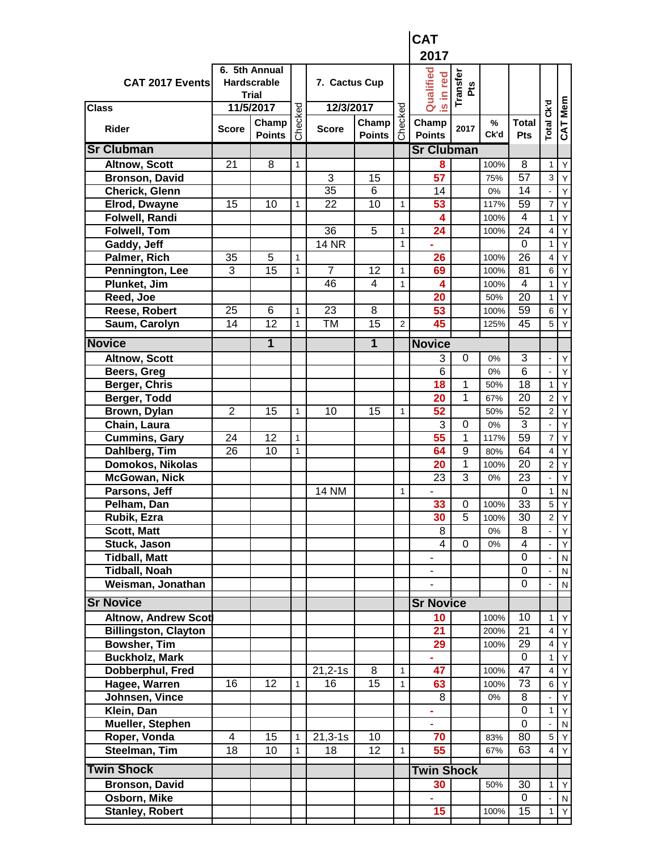|                             |                |                                                     |              |                      |                        |       | <b>CAT</b>             |                        |              |                     |                         |                |
|-----------------------------|----------------|-----------------------------------------------------|--------------|----------------------|------------------------|-------|------------------------|------------------------|--------------|---------------------|-------------------------|----------------|
|                             |                |                                                     |              |                      |                        |       | 2017                   |                        |              |                     |                         |                |
| CAT 2017 Events             |                | 6. 5th Annual<br><b>Hardscrable</b><br><b>Trial</b> |              | 7. Cactus Cup        |                        |       | Qualified<br>is in red | Transfer<br><b>Pts</b> |              |                     |                         |                |
| <b>Class</b>                |                | 11/5/2017                                           |              | 12/3/2017            |                        | ecked |                        |                        |              |                     |                         |                |
| <b>Rider</b>                | <b>Score</b>   | Champ<br><b>Points</b>                              | Checked      | <b>Score</b>         | Champ<br><b>Points</b> | င်    | Champ<br><b>Points</b> | 2017                   | $\%$<br>Ck'd | <b>Total</b><br>Pts | Total Ck'd              | <b>CAT Mem</b> |
| <b>Sr Clubman</b>           |                |                                                     |              |                      |                        |       | <b>Sr Clubman</b>      |                        |              |                     |                         |                |
| <b>Altnow, Scott</b>        | 21             | 8                                                   | $\mathbf{1}$ |                      |                        |       | 8                      |                        | 100%         | 8                   | $\mathbf{1}$            | Y              |
| <b>Bronson, David</b>       |                |                                                     |              | 3                    | 15                     |       | 57                     |                        | 75%          | 57                  | 3                       | Υ              |
| Cherick, Glenn              |                |                                                     |              | 35                   | 6                      |       | 14                     |                        | 0%           | 14                  |                         | Υ              |
| <b>Elrod, Dwayne</b>        | 15             | 10                                                  | $\mathbf{1}$ | 22                   | 10                     | 1     | 53                     |                        | 117%         | 59                  | $\overline{7}$          | Υ              |
| Folwell, Randi              |                |                                                     |              |                      |                        |       | 4                      |                        | 100%         | 4                   | 1                       | Y              |
| <b>Folwell, Tom</b>         |                |                                                     |              | 36                   | 5                      | 1     | 24                     |                        | 100%         | 24                  | $\overline{4}$          | Y              |
| Gaddy, Jeff                 |                |                                                     |              | <b>14 NR</b>         |                        | 1     |                        |                        |              | $\Omega$            | $\mathbf{1}$            | Υ              |
| Palmer, Rich                | 35             | 5                                                   | $\mathbf{1}$ |                      |                        |       | 26                     |                        | 100%         | 26                  | $\overline{\mathbf{4}}$ | Υ              |
| Pennington, Lee             | 3              | 15                                                  | $\mathbf{1}$ | $\overline{7}$       | 12                     | 1     | 69                     |                        | 100%         | 81                  | 6                       | Υ              |
| Plunket, Jim                |                |                                                     |              | 46                   | $\overline{4}$         | 1     | 4                      |                        | 100%         | 4                   | $\mathbf{1}$            | Υ              |
| Reed, Joe                   |                |                                                     |              |                      |                        |       | 20                     |                        | 50%          | 20                  | 1                       | Υ              |
| Reese, Robert               | 25             | 6                                                   | $\mathbf{1}$ | $\overline{23}$      | 8                      |       | 53                     |                        | 100%         | 59                  | $\,6$                   | Y              |
| Saum, Carolyn               | 14             | 12                                                  | $\mathbf{1}$ | <b>TM</b>            | 15                     | 2     | 45                     |                        | 125%         | 45                  | 5                       | Y              |
| <b>Novice</b>               |                | 1                                                   |              |                      | 1                      |       | <b>Novice</b>          |                        |              |                     |                         |                |
| <b>Altnow, Scott</b>        |                |                                                     |              |                      |                        |       | 3                      | 0                      | 0%           | 3                   |                         | Υ              |
| Beers, Greg                 |                |                                                     |              |                      |                        |       | 6                      |                        | 0%           | 6                   |                         | Υ              |
| Berger, Chris               |                |                                                     |              |                      |                        |       | 18                     | 1                      | 50%          | 18                  | $\mathbf{1}$            | Υ              |
| Berger, Todd                |                |                                                     |              |                      |                        |       | 20                     | 1                      | 67%          | 20                  | $\overline{2}$          | Υ              |
| Brown, Dylan                | $\overline{2}$ | 15                                                  | 1            | 10                   | 15                     | 1     | 52                     |                        | 50%          | 52                  | $\overline{c}$          | Υ              |
| Chain, Laura                |                |                                                     |              |                      |                        |       | 3                      | 0                      | 0%           | 3                   | $\blacksquare$          | Y              |
| <b>Cummins, Gary</b>        | 24             | 12                                                  | $\mathbf{1}$ |                      |                        |       | 55                     | 1                      | 117%         | 59                  | $\overline{7}$          | Υ              |
| Dahlberg, Tim               | 26             | 10                                                  | $\mathbf{1}$ |                      |                        |       | 64                     | 9                      | 80%          | 64                  | $\overline{\mathbf{4}}$ | Υ              |
| Domokos, Nikolas            |                |                                                     |              |                      |                        |       | 20                     | 1                      | 100%         | 20                  | $\overline{2}$          | Υ              |
| <b>McGowan, Nick</b>        |                |                                                     |              |                      |                        |       | 23                     | 3                      | 0%           | 23                  | ä,                      | Υ              |
| Parsons, Jeff               |                |                                                     |              | <b>14 NM</b>         |                        | 1     |                        |                        |              | 0                   | $\mathbf{1}$            | ${\sf N}$      |
| Pelham, Dan                 |                |                                                     |              |                      |                        |       | 33                     | 0                      | 100%         | $\overline{33}$     | 5                       | Y              |
| Rubik, Ezra                 |                |                                                     |              |                      |                        |       | 30                     | 5                      | 100%         | 30                  | $\mathbf 2$             | Y              |
| Scott, Matt                 |                |                                                     |              |                      |                        |       | 8                      |                        | 0%           | 8                   |                         | Y              |
| Stuck, Jason                |                |                                                     |              |                      |                        |       | 4                      | $\mathbf 0$            | $0\%$        | 4                   |                         | Y              |
| <b>Tidball, Matt</b>        |                |                                                     |              |                      |                        |       |                        |                        |              | 0                   |                         | ${\sf N}$      |
| <b>Tidball, Noah</b>        |                |                                                     |              |                      |                        |       |                        |                        |              | $\mathbf 0$         |                         | N              |
| Weisman, Jonathan           |                |                                                     |              |                      |                        |       |                        |                        |              | 0                   |                         | N              |
| <b>Sr Novice</b>            |                |                                                     |              |                      |                        |       | <b>Sr Novice</b>       |                        |              |                     |                         |                |
| <b>Altnow, Andrew Scot</b>  |                |                                                     |              |                      |                        |       | 10                     |                        | 100%         | 10                  | 1                       | Υ              |
| <b>Billingston, Clayton</b> |                |                                                     |              |                      |                        |       | 21                     |                        | 200%         | 21                  | $\overline{4}$          | Y              |
| <b>Bowsher, Tim</b>         |                |                                                     |              |                      |                        |       | 29                     |                        | 100%         | 29                  | $\overline{\mathbf{4}}$ | Υ              |
| <b>Buckholz, Mark</b>       |                |                                                     |              |                      |                        |       | ÷,                     |                        |              | $\pmb{0}$           | 1                       | Υ              |
| Dobberphul, Fred            |                |                                                     |              | $21,2-1s$            | 8                      | 1     | 47                     |                        | 100%         | 47                  | $\overline{\mathbf{4}}$ | Y              |
| Hagee, Warren               | 16             | 12                                                  | $\mathbf{1}$ | 16                   | 15                     | 1     | 63                     |                        | 100%         | 73                  | 6                       | Y              |
| Johnsen, Vince              |                |                                                     |              |                      |                        |       | 8                      |                        | $0\%$        | 8                   |                         | Υ              |
| Klein, Dan                  |                |                                                     |              |                      |                        |       |                        |                        |              | 0                   | $\mathbf{1}$            | Y              |
| <b>Mueller, Stephen</b>     |                |                                                     |              |                      |                        |       |                        |                        |              | $\mathbf 0$         |                         | N              |
| Roper, Vonda                | 4              | 15                                                  | $\mathbf{1}$ | $\overline{2}1,3-1s$ | 10                     |       | 70                     |                        | 83%          | 80                  | 5                       | Y              |
| Steelman, Tim               | 18             | 10                                                  | 1            | 18                   | 12                     | 1     | 55                     |                        | 67%          | 63                  | 4                       | Y              |
| <b>Twin Shock</b>           |                |                                                     |              |                      |                        |       |                        |                        |              |                     |                         |                |
|                             |                |                                                     |              |                      |                        |       | <b>Twin Shock</b>      |                        |              | 30                  |                         |                |
| <b>Bronson, David</b>       |                |                                                     |              |                      |                        |       | 30                     |                        | 50%          |                     | 1                       | Υ              |
| Osborn, Mike                |                |                                                     |              |                      |                        |       |                        |                        |              | 0                   |                         | N              |
| <b>Stanley, Robert</b>      |                |                                                     |              |                      |                        |       | 15                     |                        | 100%         | 15                  | 1                       | Y              |